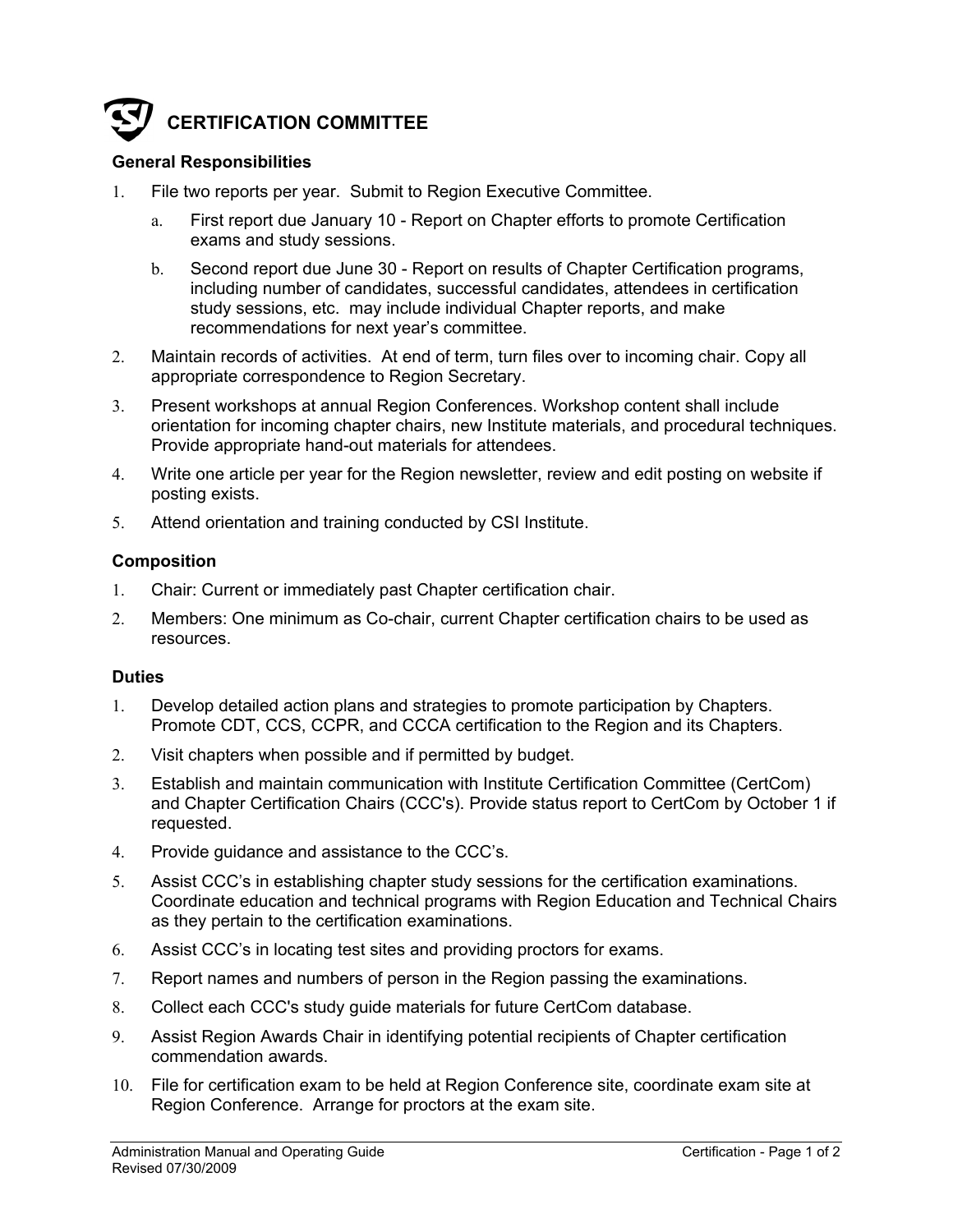# **CERTIFICATION COMMITTEE**

## **General Responsibilities**

- 1. File two reports per year. Submit to Region Executive Committee.
	- a. First report due January 10 Report on Chapter efforts to promote Certification exams and study sessions.
	- b. Second report due June 30 Report on results of Chapter Certification programs, including number of candidates, successful candidates, attendees in certification study sessions, etc. may include individual Chapter reports, and make recommendations for next year's committee.
- 2. Maintain records of activities. At end of term, turn files over to incoming chair. Copy all appropriate correspondence to Region Secretary.
- 3. Present workshops at annual Region Conferences. Workshop content shall include orientation for incoming chapter chairs, new Institute materials, and procedural techniques. Provide appropriate hand-out materials for attendees.
- 4. Write one article per year for the Region newsletter, review and edit posting on website if posting exists.
- 5. Attend orientation and training conducted by CSI Institute.

### **Composition**

- 1. Chair: Current or immediately past Chapter certification chair.
- 2. Members: One minimum as Co-chair, current Chapter certification chairs to be used as resources.

### **Duties**

- 1. Develop detailed action plans and strategies to promote participation by Chapters. Promote CDT, CCS, CCPR, and CCCA certification to the Region and its Chapters.
- 2. Visit chapters when possible and if permitted by budget.
- 3. Establish and maintain communication with Institute Certification Committee (CertCom) and Chapter Certification Chairs (CCC's). Provide status report to CertCom by October 1 if requested.
- 4. Provide guidance and assistance to the CCC's.
- 5. Assist CCC's in establishing chapter study sessions for the certification examinations. Coordinate education and technical programs with Region Education and Technical Chairs as they pertain to the certification examinations.
- 6. Assist CCC's in locating test sites and providing proctors for exams.
- 7. Report names and numbers of person in the Region passing the examinations.
- 8. Collect each CCC's study guide materials for future CertCom database.
- 9. Assist Region Awards Chair in identifying potential recipients of Chapter certification commendation awards.
- 10. File for certification exam to be held at Region Conference site, coordinate exam site at Region Conference. Arrange for proctors at the exam site.